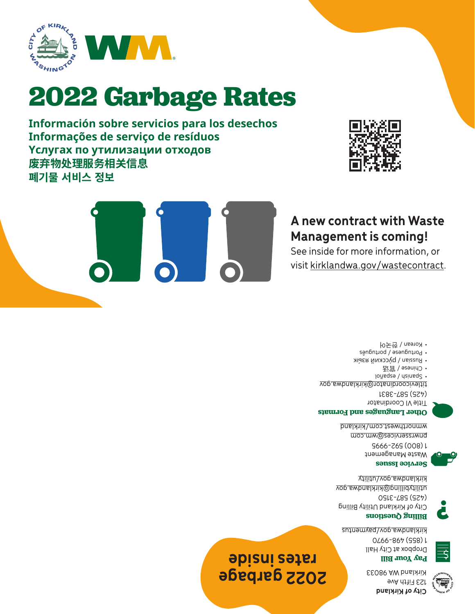**City of Kirkland** 123 Fifth Ave Kirkland WA 98033



**Pay Your Bill** Dropbox at City Hall



1 (855) 498-9970 Kirklandwa.gov/paymentus

**2022 garbage** 

**rates inside**



**Billing Questions** (425) 587-3150



City of Kirkland Utility Billing <u>utilitybilling@kirklandwa.gov</u> kirklandwa.gov/utility



**Service Issues**

Waste Management 1 (800) 592-9995 pnwrsservices@wm.com wmnorthwest.com/kirkland



**Other Languages and Formats**

Title VI Coordinator (425) 587-3831

titlevicoordinator@kirklandwa.gov

- Spanish / espagnol
- 官话 Chinese / •
- Russian / русский язык
- Portuguese / português • Korean / 한국어



### **A new contract with Waste Management is coming!**

See inside for more information, or visit kirklandwa.gov/wastecontract.



**2022 Garbage Rates**



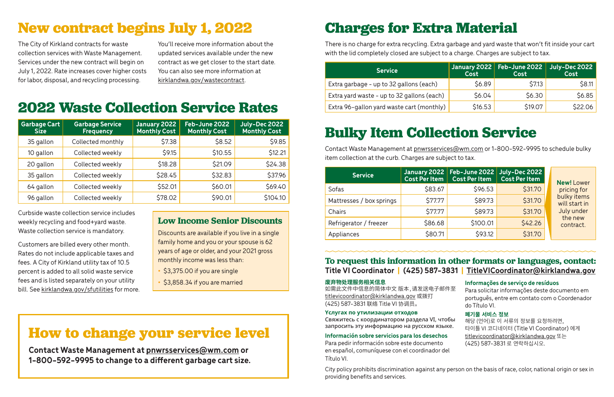### **To request this information in other formats or languages, contact: Title VI Coordinator | (425) 587-3831 | TitleVICoordinator@kirklandwa.gov**

如需此文件中信息的简体中文 版本,请发送电子邮件 titlevicoordinator@kirklandwa.gov 或拨打 (425) 587-3831 联络 Title VI 协调员。

#### **废弃物处理服务相关信息**

#### **Yслугах по утилизации отходов**

Свяжитесь с координатором раздела VI, чтобы запросить эту информацию на русском языке.

#### **Información sobre servicios para los desechos**

Para pedir información sobre este documento en español, comuníquese con el coordinador del Título VI.

| 至       | Informações de serviço de resíduos<br>Para solicitar informações deste documento em<br>português, entre em contato com o Coordenador<br>do Título VI. |
|---------|-------------------------------------------------------------------------------------------------------------------------------------------------------|
| ы<br>۱. | 폐기물 서비스 정보<br>해당 (언어)로 이 서류의 정보를 요청하려면,<br>타이틀 VI 코디네이터 (Title VI Coordinator) 에게<br>titlevicoordinator@kirklandwa.gov 또는<br>(425) 587-3831 로 연락하십시오. |

## **Bulky Item Collection Service**

Contact Waste Management at pnwrsservices@wm.com or 1-800-592-9995 to schedule bulky item collection at the curb. Charges are subject to tax.

## **2022 Waste Collection Service Rates**

| <b>Garbage Cart</b><br><b>Size</b> | <b>Garbage Service</b><br><b>Frequency</b> | January 2022<br><b>Monthly Cost</b> | Feb-June 2022<br><b>Monthly Cost</b> | July-Dec 2022<br><b>Monthly Cost</b> |
|------------------------------------|--------------------------------------------|-------------------------------------|--------------------------------------|--------------------------------------|
| 35 gallon                          | Collected monthly                          | \$7.38                              | \$8.52                               | \$9.85                               |
| 10 gallon                          | Collected weekly                           | \$9.15                              | \$10.55                              | \$12.21                              |
| 20 gallon                          | Collected weekly                           | \$18.28                             | \$21.09                              | \$24.38                              |
| 35 gallon                          | Collected weekly                           | \$28.45                             | \$32.83                              | \$37.96                              |
| 64 gallon                          | Collected weekly                           | \$52.01                             | \$60.01                              | \$69.40                              |
| 96 gallon                          | Collected weekly                           | \$78.02                             | \$90.01                              | \$104.10                             |

Curbside waste collection service includes weekly recycling and food+yard waste. Waste collection service is mandatory.

Customers are billed every other month. Rates do not include applicable taxes and fees. A City of Kirkland utility tax of 10.5 percent is added to all solid waste service fees and is listed separately on your utility bill. See kirklandwa.gov/sfutilities for more.

## **Low Income Senior Discounts**

Discounts are available if you live in a single family home and you or your spouse is 62 years of age or older, and your 2021 gross monthly income was less than:

| <b>Service</b>           | <b>Cost Per Item</b> | January 2022   Feb-June 2022  <br><b>Cost Per Item</b> | <b>July-Dec 2022</b><br><b>Cost Per Item</b> | <b>New! Lower</b>            |
|--------------------------|----------------------|--------------------------------------------------------|----------------------------------------------|------------------------------|
| Sofas                    | \$83.67              | \$96.53                                                | \$31.70                                      | pricing for                  |
| Mattresses / box springs | \$77.77              | \$89.73                                                | \$31.70                                      | bulky items<br>will start in |
| Chairs                   | \$77.77              | \$89.73                                                | \$31.70                                      | July under                   |
| Refrigerator / freezer   | \$86.68              | \$100.01                                               | \$42.26                                      | the new<br>contract.         |
| Appliances               | \$80.71              | \$93.12                                                | \$31.70                                      |                              |

- **•** \$3,375.00 if you are single
- **•** \$3,858.34 if you are married

## **Charges for Extra Material**

There is no charge for extra recycling. Extra garbage and yard waste that won't fit inside your cart with the lid completely closed are subject to a charge. Charges are subject to tax.

| <b>Service</b>                             | Cost    | January 2022 Feb-June 2022<br>Cost | July-Dec 2022<br>Cost |
|--------------------------------------------|---------|------------------------------------|-----------------------|
| Extra garbage - up to 32 gallons (each)    | \$6.89  | <b>\$7.13</b>                      | \$8.11                |
| Extra yard waste - up to 32 gallons (each) | \$6.04  | \$6.30                             | \$6.85                |
| Extra 96-gallon yard waste cart (monthly)  | \$16.53 | \$19.07                            | \$22.06               |

# **New contract begins July 1, 2022**

The City of Kirkland contracts for waste collection services with Waste Management. Services under the new contract will begin on July 1, 2022. Rate increases cover higher costs for labor, disposal, and recycling processing.

You'll receive more information about the updated services available under the new contract as we get closer to the start date. You can also see more information at kirklandwa.gov/wastecontract.

> City policy prohibits discrimination against any person on the basis of race, color, national origin or sex in providing benefits and services.

## **How to change your service level**

**Contact Waste Management at pnwrsservices@wm.com or 1-800-592-9995 to change to a different garbage cart size.**